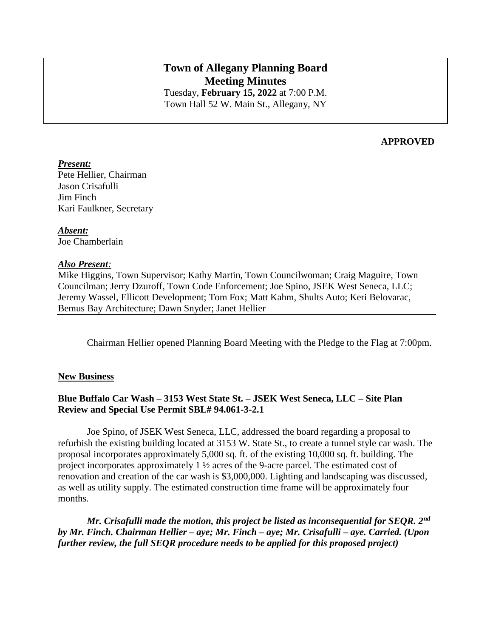# **Town of Allegany Planning Board Meeting Minutes** Tuesday, **February 15, 2022** at 7:00 P.M.

Town Hall 52 W. Main St., Allegany, NY

### **APPROVED**

#### *Present:*

Pete Hellier, Chairman Jason Crisafulli Jim Finch Kari Faulkner, Secretary

*Absent:* Joe Chamberlain

#### *Also Present:*

Mike Higgins, Town Supervisor; Kathy Martin, Town Councilwoman; Craig Maguire, Town Councilman; Jerry Dzuroff, Town Code Enforcement; Joe Spino, JSEK West Seneca, LLC; Jeremy Wassel, Ellicott Development; Tom Fox; Matt Kahm, Shults Auto; Keri Belovarac, Bemus Bay Architecture; Dawn Snyder; Janet Hellier

Chairman Hellier opened Planning Board Meeting with the Pledge to the Flag at 7:00pm.

## **New Business**

# **Blue Buffalo Car Wash – 3153 West State St. – JSEK West Seneca, LLC – Site Plan Review and Special Use Permit SBL# 94.061-3-2.1**

Joe Spino, of JSEK West Seneca, LLC, addressed the board regarding a proposal to refurbish the existing building located at 3153 W. State St., to create a tunnel style car wash. The proposal incorporates approximately 5,000 sq. ft. of the existing 10,000 sq. ft. building. The project incorporates approximately 1 ½ acres of the 9-acre parcel. The estimated cost of renovation and creation of the car wash is \$3,000,000. Lighting and landscaping was discussed, as well as utility supply. The estimated construction time frame will be approximately four months.

*Mr. Crisafulli made the motion, this project be listed as inconsequential for SEQR. 2nd by Mr. Finch. Chairman Hellier – aye; Mr. Finch – aye; Mr. Crisafulli – aye. Carried. (Upon further review, the full SEQR procedure needs to be applied for this proposed project)*